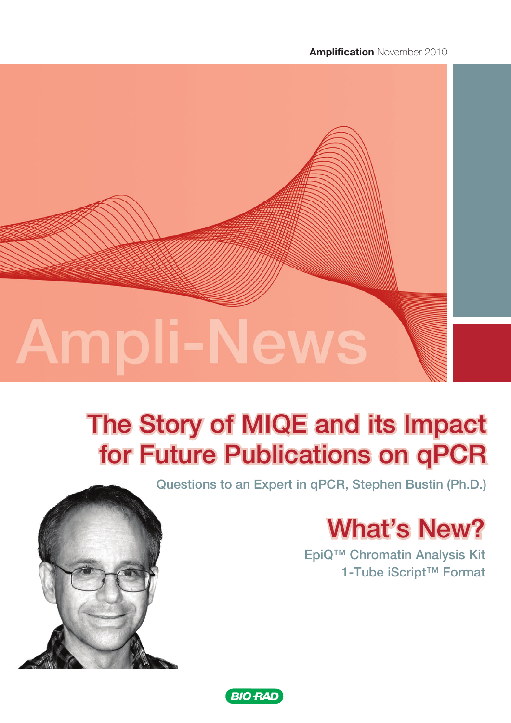**Amplification November 2010** 



# The Story of MIQE and its Impact for Future Publications on qPCR

Questions to an Expert in qPCR, Stephen Bustin (Ph.D.)

# What's New?

EpiQ™ Chromatin Analysis Kit 1-Tube iScript™ Format



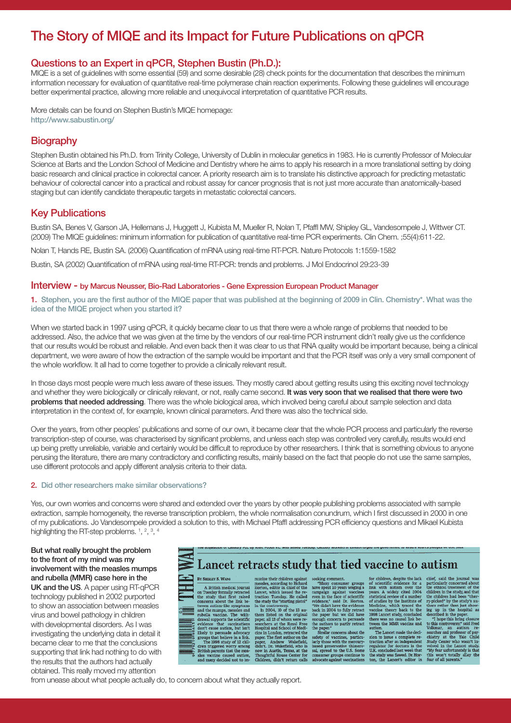# The Story of MIQE and its Impact for Future Publications on qPCR

### Questions to an Expert in qPCR, Stephen Bustin (Ph.D.):

MIQE is a set of guidelines with some essential (59) and some desirable (28) check points for the documentation that describes the minimum information necessary for evaluation of quantitative real-time polymerase chain reaction experiments. Following these guidelines will encourage better experimental practice, allowing more reliable and unequivocal interpretation of quantitative PCR results.

More details can be found on Stephen Bustin's MIQE homepage: http://www.sabustin.org/

## **Biography**

Stephen Bustin obtained his Ph.D. from Trinity College, University of Dublin in molecular genetics in 1983. He is currently Professor of Molecular Science at Barts and the London School of Medicine and Dentistry where he aims to apply his research in a more translational setting by doing basic research and clinical practice in colorectal cancer. A priority research aim is to translate his distinctive approach for predicting metastatic behaviour of colorectal cancer into a practical and robust assay for cancer prognosis that is not just more accurate than anatomically-based staging but can identify candidate therapeutic targets in metastatic colorectal cancers.

## Key Publications

Bustin SA, Benes V, Garson JA, Hellemans J, Huggett J, Kubista M, Mueller R, Nolan T, Pfaffl MW, Shipley GL, Vandesompele J, Wittwer CT. (2009) The MIQE guidelines: minimum information for publication of quantitative real-time PCR experiments. Clin Chem. ;55(4):611-22.

Nolan T, Hands RE, Bustin SA. (2006) Quantification of mRNA using real-time RT-PCR. Nature Protocols 1:1559-1582

Bustin, SA (2002) Quantification of mRNA using real-time RT-PCR: trends and problems. J Mol Endocrinol 29:23-39

#### Interview - by Marcus Neusser, Bio-Rad Laboratories - Gene Expression European Product Manager

1. Stephen, you are the first author of the MIQE paper that was published at the beginning of 2009 in Clin. Chemistry\*. What was the idea of the MIQE project when you started it?

When we started back in 1997 using qPCR, it quickly became clear to us that there were a whole range of problems that needed to be addressed. Also, the advice that we was given at the time by the vendors of our real-time PCR instrument didn't really give us the confidence that our results would be robust and reliable. And even back then it was clear to us that RNA quality would be important because, being a clinical department, we were aware of how the extraction of the sample would be important and that the PCR itself was only a very small component of the whole workflow. It all had to come together to provide a clinically relevant result.

In those days most people were much less aware of these issues. They mostly cared about getting results using this exciting novel technology and whether they were biologically or clinically relevant, or not, really came second. It was very soon that we realised that there were two problems that needed addressing. There was the whole biological area, which involved being careful about sample selection and data interpretation in the context of, for example, known clinical parameters. And there was also the technical side.

Over the years, from other peoples' publications and some of our own, it became clear that the whole PCR process and particularly the reverse transcription-step of course, was characterised by significant problems, and unless each step was controlled very carefully, results would end up being pretty unreliable, variable and certainly would be difficult to reproduce by other researchers. I think that is something obvious to anyone perusing the literature, there are many contradictory and conflicting results, mainly based on the fact that people do not use the same samples, use different protocols and apply different analysis criteria to their data.

#### 2. Did other researchers make similar observations?

Yes, our own worries and concerns were shared and extended over the years by other people publishing problems associated with sample extraction, sample homogeneity, the reverse transcription problem, the whole normalisation conundrum, which I first discussed in 2000 in one of my publications. Jo Vandesompele provided a solution to this, with Michael Pfaffl addressing PCR efficiency questions and Mikael Kubista highlighting the RT-step problems.  $1, 2, 3, 4$ 

But what really brought the problem to the front of my mind was my involvement with the measles mumps and rubella (MMR) case here in the UK and the US. A paper using RT-qPCR technology published in 2002 purported to show an association between measles virus and bowel pathology in children with developmental disorders. As I was investigating the underlying data in detail it became clear to me that the conclusions supporting that link had nothing to do with the results that the authors had actually obtained. This really moved my attention

# Lancet retracts study that tied vaccine to autism

BY SHIRLEY S. WAN Ev Smazev S. Wave<br>
of Arithsh medical journal<br>  $\Delta$  Rivitsh medical journal<br>
on Tuesday formally retracted<br>
the study that first raised<br>
toween aution-like symptoms<br>
and the mumps, measles and<br>
the symptoms of the value o

munize their children against<br>measles, according to Richard<br>Horton, edtor in child of the<br>Lancet, which issued the retraction Tuesday. He called<br>the study the "starting pistol"<br>in the controversy. the study the "starting pistol"<br>in the controversy.<br>In 2004, 10 of the 13 au-<br>three three started on the original paper, all 13 of whom were seem<br>cheres is ideal on the not paper starting paper. In London, retracted the<br>d

seeking communit. The approximation of Many consumer groups have spent 10 years we<br>given a have spent 10 years we given a compaign a sample of the evolution<br>evolution of the model of the model of the model of the model of

chief, said the journal was<br>particularly concerned about<br>the othical treatment of the<br>children in the study, and that<br>the children had been "cher-<br>ry-picked" by the study's su-<br>thors rather than just show-<br>the way in the b for children, despite the lack<br>of scientific evidence for a link with autism over the link virtual<br>statistical conductions of the statistical conductions, which is<br>defined as a point of Madicine of Madicine of the Distric

Volkmar. vourant, an automount<br>searcher and professe<br>chiatry at the Ye Study Center who volved in the Land<br>volved in the Land<br>"My fear unfortunate"<br>this won't totally fear of all parents." The Lancet made the decision to issue a complete rescult<br>traction after an imdependent regulator for doctors in the U.K. concluded last week that<br>the study was flaved. Dr. Horizon, the study was flaved. Dr. Horizon, totally alla

from unease about what people actually do, to concern about what they actually report.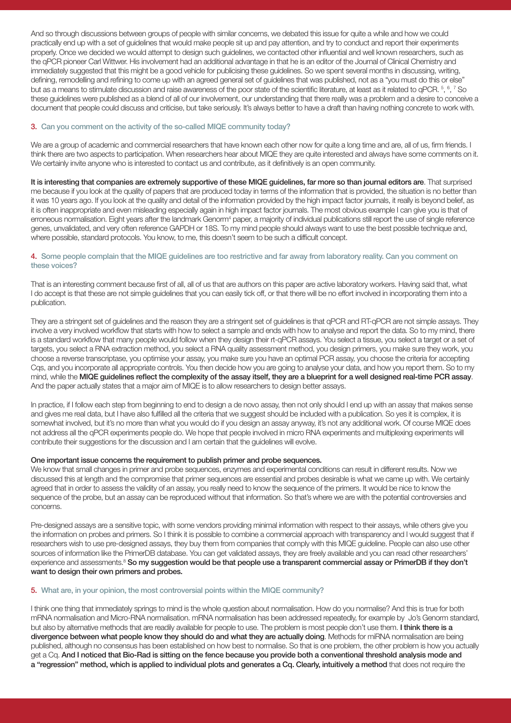And so through discussions between groups of people with similar concerns, we debated this issue for quite a while and how we could practically end up with a set of guidelines that would make people sit up and pay attention, and try to conduct and report their experiments properly. Once we decided we would attempt to design such guidelines, we contacted other influential and well known researchers, such as the qPCR pioneer Carl Wittwer. His involvement had an additional advantage in that he is an editor of the Journal of Clinical Chemistry and immediately suggested that this might be a good vehicle for publicising these guidelines. So we spent several months in discussing, writing, defining, remodelling and refining to come up with an agreed general set of guidelines that was published, not as a "you must do this or else" but as a means to stimulate discussion and raise awareness of the poor state of the scientific literature, at least as it related to qPCR.  $5, 6, 7$  So these guidelines were published as a blend of all of our involvement, our understanding that there really was a problem and a desire to conceive a document that people could discuss and criticise, but take seriously. It's always better to have a draft than having nothing concrete to work with.

#### 3. Can you comment on the activity of the so-called MIQE community today?

We are a group of academic and commercial researchers that have known each other now for quite a long time and are, all of us, firm friends. I think there are two aspects to participation. When researchers hear about MIQE they are quite interested and always have some comments on it. We certainly invite anyone who is interested to contact us and contribute, as it definitively is an open community.

It is interesting that companies are extremely supportive of these MIQE guidelines, far more so than journal editors are. That surprised me because if you look at the quality of papers that are produced today in terms of the information that is provided, the situation is no better than it was 10 years ago. If you look at the quality and detail of the information provided by the high impact factor journals, it really is beyond belief, as it is often inappropriate and even misleading especially again in high impact factor journals. The most obvious example I can give you is that of erroneous normalisation. Eight years after the landmark Genorm<sup>4</sup> paper, a majority of individual publications still report the use of single reference genes, unvalidated, and very often reference GAPDH or 18S. To my mind people should always want to use the best possible technique and, where possible, standard protocols. You know, to me, this doesn't seem to be such a difficult concept.

#### 4. Some people complain that the MIQE guidelines are too restrictive and far away from laboratory reality. Can you comment on these voices?

That is an interesting comment because first of all, all of us that are authors on this paper are active laboratory workers. Having said that, what I do accept is that these are not simple guidelines that you can easily tick off, or that there will be no effort involved in incorporating them into a publication.

They are a stringent set of guidelines and the reason they are a stringent set of guidelines is that qPCR and RT-qPCR are not simple assays. They involve a very involved workflow that starts with how to select a sample and ends with how to analyse and report the data. So to my mind, there is a standard workflow that many people would follow when they design their rt-qPCR assays. You select a tissue, you select a target or a set of targets, you select a RNA extraction method, you select a RNA quality assessment method, you design primers, you make sure they work, you choose a reverse transcriptase, you optimise your assay, you make sure you have an optimal PCR assay, you choose the criteria for accepting Cqs, and you incorporate all appropriate controls. You then decide how you are going to analyse your data, and how you report them. So to my mind, while the MIQE guidelines reflect the complexity of the assay itself, they are a blueprint for a well designed real-time PCR assay. And the paper actually states that a major aim of MIQE is to allow researchers to design better assays.

In practice, if I follow each step from beginning to end to design a de novo assay, then not only should I end up with an assay that makes sense and gives me real data, but I have also fulfilled all the criteria that we suggest should be included with a publication. So yes it is complex, it is somewhat involved, but it's no more than what you would do if you design an assay anyway, it's not any additional work. Of course MIQE does not address all the qPCR experiments people do. We hope that people involved in micro RNA experiments and multiplexing experiments will contribute their suggestions for the discussion and I am certain that the guidelines will evolve.

#### One important issue concerns the requirement to publish primer and probe sequences.

We know that small changes in primer and probe sequences, enzymes and experimental conditions can result in different results. Now we discussed this at length and the compromise that primer sequences are essential and probes desirable is what we came up with. We certainly agreed that in order to assess the validity of an assay, you really need to know the sequence of the primers. It would be nice to know the sequence of the probe, but an assay can be reproduced without that information. So that's where we are with the potential controversies and concerns.

Pre-designed assays are a sensitive topic, with some vendors providing minimal information with respect to their assays, while others give you the information on probes and primers. So I think it is possible to combine a commercial approach with transparency and I would suggest that if researchers wish to use pre-designed assays, they buy them from companies that comply with this MIQE guideline. People can also use other sources of information like the PrimerDB database. You can get validated assays, they are freely available and you can read other researchers' experience and assessments.<sup>8</sup> So my suggestion would be that people use a transparent commercial assay or PrimerDB if they don't want to design their own primers and probes.

#### 5. What are, in your opinion, the most controversial points within the MIQE community?

I think one thing that immediately springs to mind is the whole question about normalisation. How do you normalise? And this is true for both mRNA normalisation and Micro-RNA normalisation. mRNA normalisation has been addressed repeatedly, for example by Jo's Genorm standard, but also by alternative methods that are readily available for people to use. The problem is most people don't use them. I think there is a divergence between what people know they should do and what they are actually doing. Methods for miRNA normalisation are being published, although no consensus has been established on how best to normalise. So that is one problem, the other problem is how you actually get a Cq. And I noticed that Bio-Rad is sitting on the fence because you provide both a conventional threshold analysis mode and a "regression" method, which is applied to individual plots and generates a Cq. Clearly, intuitively a method that does not require the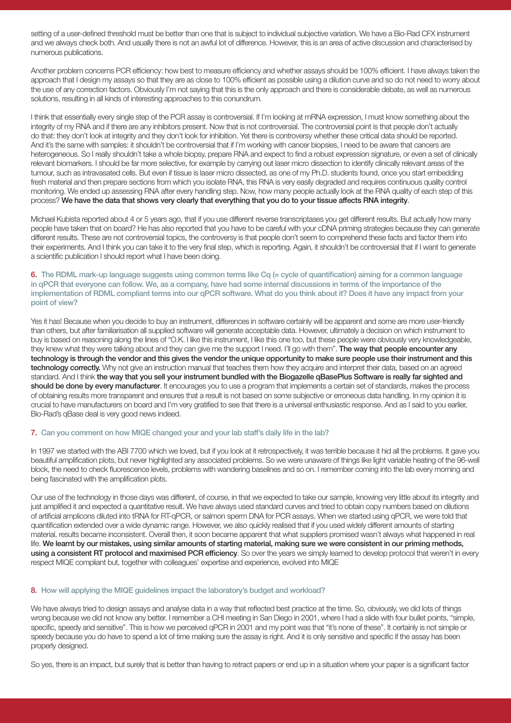setting of a user-defined threshold must be better than one that is subject to individual subjective variation. We have a Bio-Rad CFX instrument and we always check both. And usually there is not an awful lot of difference. However, this is an area of active discussion and characterised by numerous publications.

Another problem concerns PCR efficiency: how best to measure efficiency and whether assays should be 100% efficient. I have always taken the approach that I design my assays so that they are as close to 100% efficient as possible using a dilution curve and so do not need to worry about the use of any correction factors. Obviously I'm not saying that this is the only approach and there is considerable debate, as well as numerous solutions, resulting in all kinds of interesting approaches to this conundrum.

I think that essentially every single step of the PCR assay is controversial. If I'm looking at mRNA expression, I must know something about the integrity of my RNA and if there are any inhibitors present. Now that is not controversial. The controversial point is that people don't actually do that: they don't look at integrity and they don't look for inhibition. Yet there is controversy whether these critical data should be reported. And it's the same with samples: it shouldn't be controversial that if I'm working with cancer biopsies, I need to be aware that cancers are heterogeneous. So I really shouldn't take a whole biopsy, prepare RNA and expect to find a robust expression signature, or even a set of clinically relevant biomarkers. I should be far more selective, for example by carrying out laser micro dissection to identify clinically relevant areas of the tumour, such as intravasated cells. But even if tissue is laser micro dissected, as one of my Ph.D. students found, once you start embedding fresh material and then prepare sections from which you isolate RNA, this RNA is very easily degraded and requires continuous quality control monitoring. We ended up assessing RNA after every handling step. Now, how many people actually look at the RNA quality of each step of this process? We have the data that shows very clearly that everything that you do to your tissue affects RNA integrity.

Michael Kubista reported about 4 or 5 years ago, that if you use different reverse transcriptases you get different results. But actually how many people have taken that on board? He has also reported that you have to be careful with your cDNA priming strategies because they can generate different results. These are not controversial topics, the controversy is that people don't seem to comprehend these facts and factor them into their experiments. And I think you can take it to the very final step, which is reporting. Again, it shouldn't be controversial that if I want to generate a scientific publication I should report what I have been doing.

6. The RDML mark-up language suggests using common terms like Cq  $(=$  cycle of guantification) aiming for a common language in qPCR that everyone can follow. We, as a company, have had some internal discussions in terms of the importance of the implementation of RDML compliant terms into our qPCR software. What do you think about it? Does it have any impact from your point of view?

Yes it has! Because when you decide to buy an instrument, differences in software certainly will be apparent and some are more user-friendly than others, but after familiarisation all supplied software will generate acceptable data. However, ultimately a decision on which instrument to buy is based on reasoning along the lines of "O.K. I like this instrument, I like this one too, but these people were obviously very knowledgeable, they knew what they were talking about and they can give me the support I need. I'll go with them". The way that people encounter any technology is through the vendor and this gives the vendor the unique opportunity to make sure people use their instrument and this technology correctly. Why not give an instruction manual that teaches them how they acquire and interpret their data, based on an agreed standard. And I think the way that you sell your instrument bundled with the Biogazelle qBasePlus Software is really far sighted and should be done by every manufacturer. It encourages you to use a program that implements a certain set of standards, makes the process of obtaining results more transparent and ensures that a result is not based on some subjective or erroneous data handling. In my opinion it is crucial to have manufacturers on board and I'm very gratified to see that there is a universal enthusiastic response. And as I said to you earlier, Bio-Rad's qBase deal is very good news indeed.

#### 7. Can you comment on how MIQE changed your and your lab staff's daily life in the lab?

In 1997 we started with the ABI 7700 which we loved, but if you look at it retrospectively, it was terrible because it hid all the problems. It gave you beautiful amplification plots, but never highlighted any associated problems. So we were unaware of things like light variable heating of the 96-well block, the need to check fluorescence levels, problems with wandering baselines and so on. I remember coming into the lab every morning and being fascinated with the amplification plots.

Our use of the technology in those days was different, of course, in that we expected to take our sample, knowing very little about its integrity and just amplified it and expected a quantitative result. We have always used standard curves and tried to obtain copy numbers based on dilutions of artificial amplicons diluted into tRNA for RT-qPCR, or salmon sperm DNA for PCR assays. When we started using qPCR, we were told that quantification extended over a wide dynamic range. However, we also quickly realised that if you used widely different amounts of starting material, results became inconsistent. Overall then, it soon became apparent that what suppliers promised wasn't always what happened in real life. We learnt by our mistakes, using similar amounts of starting material, making sure we were consistent in our priming methods, using a consistent RT protocol and maximised PCR efficiency. So over the years we simply learned to develop protocol that weren't in every respect MIQE compliant but, together with colleagues' expertise and experience, evolved into MIQE

#### 8. How will applying the MIQE guidelines impact the laboratory's budget and workload?

We have always tried to design assays and analyse data in a way that reflected best practice at the time. So, obviously, we did lots of things wrong because we did not know any better. I remember a CHI meeting in San Diego in 2001, where I had a slide with four bullet points, "simple, specific, speedy and sensitive". This is how we perceived qPCR in 2001 and my point was that "it's none of these". It certainly is not simple or speedy because you do have to spend a lot of time making sure the assay is right. And it is only sensitive and specific if the assay has been properly designed.

So yes, there is an impact, but surely that is better than having to retract papers or end up in a situation where your paper is a significant factor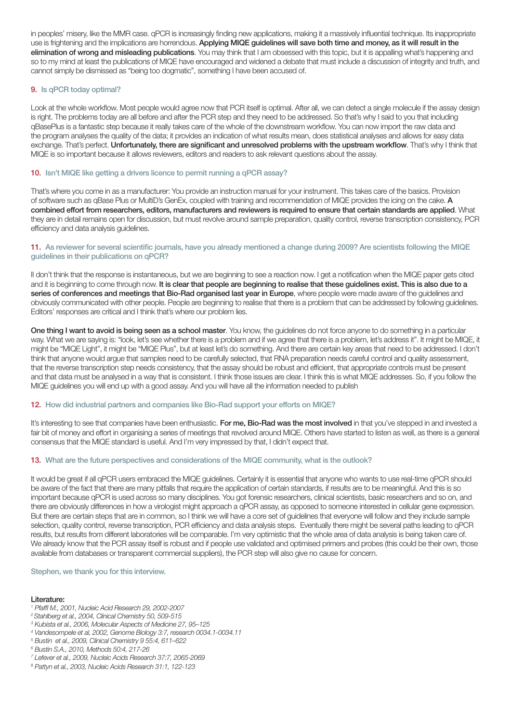in peoples' misery, like the MMR case. qPCR is increasingly finding new applications, making it a massively influential technique. Its inappropriate use is frightening and the implications are horrendous. Applying MIQE guidelines will save both time and money, as it will result in the elimination of wrong and misleading publications. You may think that I am obsessed with this topic, but it is appalling what's happening and so to my mind at least the publications of MIQE have encouraged and widened a debate that must include a discussion of integrity and truth, and cannot simply be dismissed as "being too dogmatic", something I have been accused of.

#### 9. Is qPCR today optimal?

Look at the whole workflow. Most people would agree now that PCR itself is optimal. After all, we can detect a single molecule if the assay design is right. The problems today are all before and after the PCR step and they need to be addressed. So that's why I said to you that including qBasePlus is a fantastic step because it really takes care of the whole of the downstream workflow. You can now import the raw data and the program analyses the quality of the data; it provides an indication of what results mean, does statistical analyses and allows for easy data exchange. That's perfect. Unfortunately, there are significant and unresolved problems with the upstream workflow. That's why I think that MIQE is so important because it allows reviewers, editors and readers to ask relevant questions about the assay.

#### 10. Isn't MIQE like getting a drivers licence to permit running a qPCR assay?

That's where you come in as a manufacturer: You provide an instruction manual for your instrument. This takes care of the basics. Provision of software such as qBase Plus or MultiD's GenEx, coupled with training and recommendation of MIQE provides the icing on the cake. A combined effort from researchers, editors, manufacturers and reviewers is required to ensure that certain standards are applied. What they are in detail remains open for discussion, but must revolve around sample preparation, quality control, reverse transcription consistency, PCR efficiency and data analysis guidelines.

#### 11. As reviewer for several scientific journals, have you already mentioned a change during 2009? Are scientists following the MIQE guidelines in their publications on qPCR?

II don't think that the response is instantaneous, but we are beginning to see a reaction now. I get a notification when the MIQE paper gets cited and it is beginning to come through now. It is clear that people are beginning to realise that these guidelines exist. This is also due to a series of conferences and meetings that Bio-Rad organised last year in Europe, where people were made aware of the guidelines and obviously communicated with other people. People are beginning to realise that there is a problem that can be addressed by following guidelines. Editors' responses are critical and I think that's where our problem lies.

One thing I want to avoid is being seen as a school master. You know, the guidelines do not force anyone to do something in a particular way. What we are saying is: "look, let's see whether there is a problem and if we agree that there is a problem, let's address it". It might be MIQE, it might be "MIQE Light", it might be "MIQE Plus", but at least let's do something. And there are certain key areas that need to be addressed. I don't think that anyone would argue that samples need to be carefully selected, that RNA preparation needs careful control and quality assessment, that the reverse transcription step needs consistency, that the assay should be robust and efficient, that appropriate controls must be present and that data must be analysed in a way that is consistent. I think those issues are clear. I think this is what MIQE addresses. So, if you follow the MIQE guidelines you will end up with a good assay. And you will have all the information needed to publish

#### 12. How did industrial partners and companies like Bio-Rad support your efforts on MIQE?

It's interesting to see that companies have been enthusiastic. For me, Bio-Rad was the most involved in that you've stepped in and invested a fair bit of money and effort in organising a series of meetings that revolved around MIQE. Others have started to listen as well, as there is a general consensus that the MIQE standard is useful. And I'm very impressed by that, I didn't expect that.

#### 13. What are the future perspectives and considerations of the MIQE community, what is the outlook?

It would be great if all qPCR users embraced the MIQE guidelines. Certainly it is essential that anyone who wants to use real-time qPCR should be aware of the fact that there are many pitfalls that require the application of certain standards, if results are to be meaningful. And this is so important because qPCR is used across so many disciplines. You got forensic researchers, clinical scientists, basic researchers and so on, and there are obviously differences in how a virologist might approach a qPCR assay, as opposed to someone interested in cellular gene expression. But there are certain steps that are in common, so I think we will have a core set of guidelines that everyone will follow and they include sample selection, quality control, reverse transcription, PCR efficiency and data analysis steps. Eventually there might be several paths leading to qPCR results, but results from different laboratories will be comparable. I'm very optimistic that the whole area of data analysis is being taken care of. We already know that the PCR assay itself is robust and if people use validated and optimised primers and probes (this could be their own, those available from databases or transparent commercial suppliers), the PCR step will also give no cause for concern.

#### Stephen, we thank you for this interview.

#### Literature:

- *1 Pfaffl M., 2001, Nucleic Acid Research 29, 2002-2007*
- *2 Stahlberg et al., 2004, Clinical Chemistry 50, 509-515*
- *3 Kubista et al., 2006, Molecular Aspects of Medicine 27, 95–125*
- *4 Vandesompele et al, 2002, Genome Biology 3:7, research 0034.1-0034.11*
- *5 Bustin et al., 2009, Clinical Chemistry 9 55:4, 611–622*
- *6 Bustin S.A., 2010, Methods 50:4, 217-26*
- *7 Lefever et al., 2009, Nucleic Acids Research 37:7, 2065-2069*
- *8 Pattyn et al., 2003, Nucleic Acids Research 31:1, 122-123*